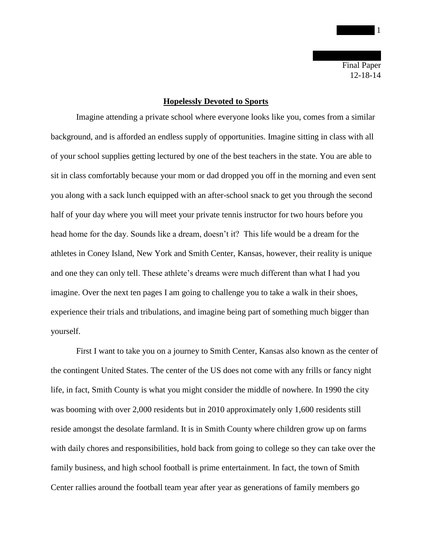Final Paper 12-18-14

## **Hopelessly Devoted to Sports**

Imagine attending a private school where everyone looks like you, comes from a similar background, and is afforded an endless supply of opportunities. Imagine sitting in class with all of your school supplies getting lectured by one of the best teachers in the state. You are able to sit in class comfortably because your mom or dad dropped you off in the morning and even sent you along with a sack lunch equipped with an after-school snack to get you through the second half of your day where you will meet your private tennis instructor for two hours before you head home for the day. Sounds like a dream, doesn't it? This life would be a dream for the athletes in Coney Island, New York and Smith Center, Kansas, however, their reality is unique and one they can only tell. These athlete's dreams were much different than what I had you imagine. Over the next ten pages I am going to challenge you to take a walk in their shoes, experience their trials and tribulations, and imagine being part of something much bigger than yourself.

First I want to take you on a journey to Smith Center, Kansas also known as the center of the contingent United States. The center of the US does not come with any frills or fancy night life, in fact, Smith County is what you might consider the middle of nowhere. In 1990 the city was booming with over 2,000 residents but in 2010 approximately only 1,600 residents still reside amongst the desolate farmland. It is in Smith County where children grow up on farms with daily chores and responsibilities, hold back from going to college so they can take over the family business, and high school football is prime entertainment. In fact, the town of Smith Center rallies around the football team year after year as generations of family members go

 $\overline{\mathbf{1}}$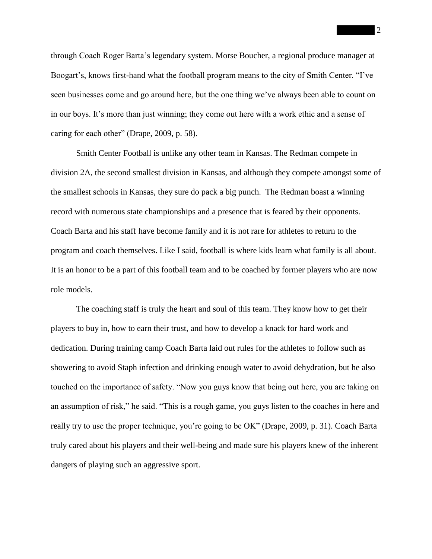through Coach Roger Barta's legendary system. Morse Boucher, a regional produce manager at Boogart's, knows first-hand what the football program means to the city of Smith Center. "I've seen businesses come and go around here, but the one thing we've always been able to count on in our boys. It's more than just winning; they come out here with a work ethic and a sense of caring for each other" (Drape, 2009, p. 58).

Smith Center Football is unlike any other team in Kansas. The Redman compete in division 2A, the second smallest division in Kansas, and although they compete amongst some of the smallest schools in Kansas, they sure do pack a big punch. The Redman boast a winning record with numerous state championships and a presence that is feared by their opponents. Coach Barta and his staff have become family and it is not rare for athletes to return to the program and coach themselves. Like I said, football is where kids learn what family is all about. It is an honor to be a part of this football team and to be coached by former players who are now role models.

The coaching staff is truly the heart and soul of this team. They know how to get their players to buy in, how to earn their trust, and how to develop a knack for hard work and dedication. During training camp Coach Barta laid out rules for the athletes to follow such as showering to avoid Staph infection and drinking enough water to avoid dehydration, but he also touched on the importance of safety. "Now you guys know that being out here, you are taking on an assumption of risk," he said. "This is a rough game, you guys listen to the coaches in here and really try to use the proper technique, you're going to be OK" (Drape, 2009, p. 31). Coach Barta truly cared about his players and their well-being and made sure his players knew of the inherent dangers of playing such an aggressive sport.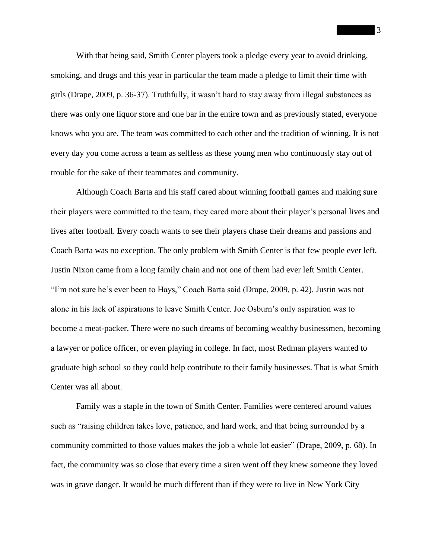With that being said, Smith Center players took a pledge every year to avoid drinking, smoking, and drugs and this year in particular the team made a pledge to limit their time with girls (Drape, 2009, p. 36-37). Truthfully, it wasn't hard to stay away from illegal substances as there was only one liquor store and one bar in the entire town and as previously stated, everyone knows who you are. The team was committed to each other and the tradition of winning. It is not every day you come across a team as selfless as these young men who continuously stay out of trouble for the sake of their teammates and community.

Although Coach Barta and his staff cared about winning football games and making sure their players were committed to the team, they cared more about their player's personal lives and lives after football. Every coach wants to see their players chase their dreams and passions and Coach Barta was no exception. The only problem with Smith Center is that few people ever left. Justin Nixon came from a long family chain and not one of them had ever left Smith Center. "I'm not sure he's ever been to Hays," Coach Barta said (Drape, 2009, p. 42). Justin was not alone in his lack of aspirations to leave Smith Center. Joe Osburn's only aspiration was to become a meat-packer. There were no such dreams of becoming wealthy businessmen, becoming a lawyer or police officer, or even playing in college. In fact, most Redman players wanted to graduate high school so they could help contribute to their family businesses. That is what Smith Center was all about.

Family was a staple in the town of Smith Center. Families were centered around values such as "raising children takes love, patience, and hard work, and that being surrounded by a community committed to those values makes the job a whole lot easier" (Drape, 2009, p. 68). In fact, the community was so close that every time a siren went off they knew someone they loved was in grave danger. It would be much different than if they were to live in New York City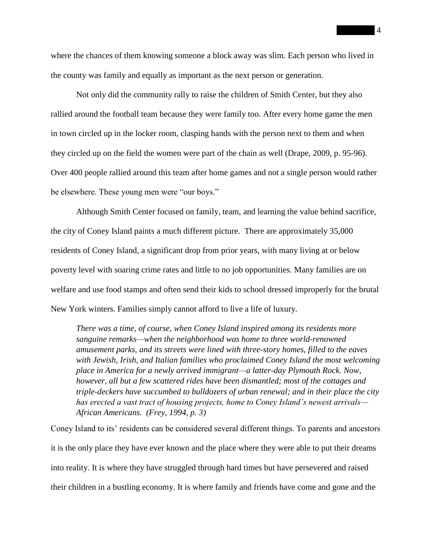where the chances of them knowing someone a block away was slim. Each person who lived in the county was family and equally as important as the next person or generation.

Not only did the community rally to raise the children of Smith Center, but they also rallied around the football team because they were family too. After every home game the men in town circled up in the locker room, clasping hands with the person next to them and when they circled up on the field the women were part of the chain as well (Drape, 2009, p. 95-96). Over 400 people rallied around this team after home games and not a single person would rather be elsewhere. These young men were "our boys."

Although Smith Center focused on family, team, and learning the value behind sacrifice, the city of Coney Island paints a much different picture. There are approximately 35,000 residents of Coney Island, a significant drop from prior years, with many living at or below poverty level with soaring crime rates and little to no job opportunities. Many families are on welfare and use food stamps and often send their kids to school dressed improperly for the brutal New York winters. Families simply cannot afford to live a life of luxury.

*There was a time, of course, when Coney Island inspired among its residents more sanguine remarks—when the neighborhood was home to three world-renowned amusement parks, and its streets were lined with three-story homes, filled to the eaves with Jewish, Irish, and Italian families who proclaimed Coney Island the most welcoming place in America for a newly arrived immigrant—a latter-day Plymouth Rock. Now, however, all but a few scattered rides have been dismantled; most of the cottages and triple-deckers have succumbed to bulldozers of urban renewal; and in their place the city has erected a vast tract of housing projects, home to Coney Island's newest arrivals— African Americans. (Frey, 1994, p. 3)*

Coney Island to its' residents can be considered several different things. To parents and ancestors it is the only place they have ever known and the place where they were able to put their dreams into reality. It is where they have struggled through hard times but have persevered and raised their children in a bustling economy. It is where family and friends have come and gone and the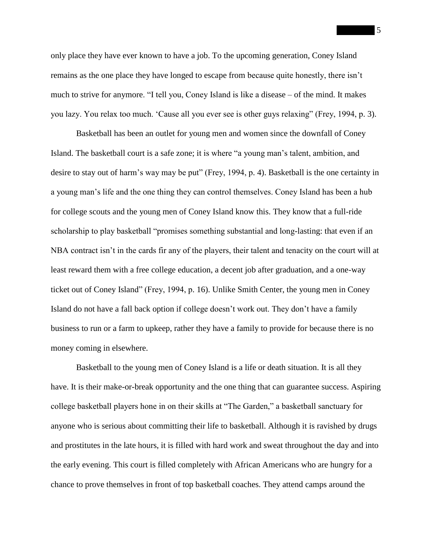only place they have ever known to have a job. To the upcoming generation, Coney Island remains as the one place they have longed to escape from because quite honestly, there isn't much to strive for anymore. "I tell you, Coney Island is like a disease – of the mind. It makes you lazy. You relax too much. 'Cause all you ever see is other guys relaxing" (Frey, 1994, p. 3).

Basketball has been an outlet for young men and women since the downfall of Coney Island. The basketball court is a safe zone; it is where "a young man's talent, ambition, and desire to stay out of harm's way may be put" (Frey, 1994, p. 4). Basketball is the one certainty in a young man's life and the one thing they can control themselves. Coney Island has been a hub for college scouts and the young men of Coney Island know this. They know that a full-ride scholarship to play basketball "promises something substantial and long-lasting: that even if an NBA contract isn't in the cards fir any of the players, their talent and tenacity on the court will at least reward them with a free college education, a decent job after graduation, and a one-way ticket out of Coney Island" (Frey, 1994, p. 16). Unlike Smith Center, the young men in Coney Island do not have a fall back option if college doesn't work out. They don't have a family business to run or a farm to upkeep, rather they have a family to provide for because there is no money coming in elsewhere.

Basketball to the young men of Coney Island is a life or death situation. It is all they have. It is their make-or-break opportunity and the one thing that can guarantee success. Aspiring college basketball players hone in on their skills at "The Garden," a basketball sanctuary for anyone who is serious about committing their life to basketball. Although it is ravished by drugs and prostitutes in the late hours, it is filled with hard work and sweat throughout the day and into the early evening. This court is filled completely with African Americans who are hungry for a chance to prove themselves in front of top basketball coaches. They attend camps around the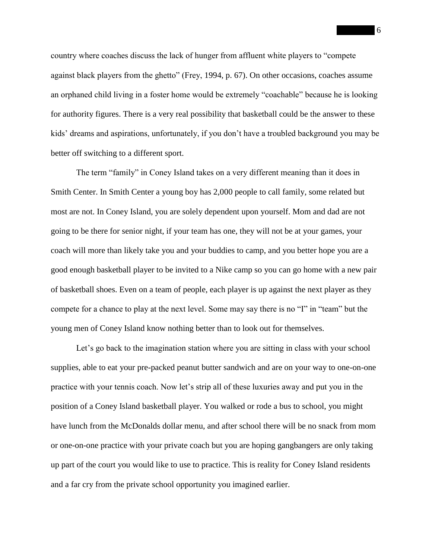country where coaches discuss the lack of hunger from affluent white players to "compete against black players from the ghetto" (Frey, 1994, p. 67). On other occasions, coaches assume an orphaned child living in a foster home would be extremely "coachable" because he is looking for authority figures. There is a very real possibility that basketball could be the answer to these kids' dreams and aspirations, unfortunately, if you don't have a troubled background you may be better off switching to a different sport.

The term "family" in Coney Island takes on a very different meaning than it does in Smith Center. In Smith Center a young boy has 2,000 people to call family, some related but most are not. In Coney Island, you are solely dependent upon yourself. Mom and dad are not going to be there for senior night, if your team has one, they will not be at your games, your coach will more than likely take you and your buddies to camp, and you better hope you are a good enough basketball player to be invited to a Nike camp so you can go home with a new pair of basketball shoes. Even on a team of people, each player is up against the next player as they compete for a chance to play at the next level. Some may say there is no "I" in "team" but the young men of Coney Island know nothing better than to look out for themselves.

Let's go back to the imagination station where you are sitting in class with your school supplies, able to eat your pre-packed peanut butter sandwich and are on your way to one-on-one practice with your tennis coach. Now let's strip all of these luxuries away and put you in the position of a Coney Island basketball player. You walked or rode a bus to school, you might have lunch from the McDonalds dollar menu, and after school there will be no snack from mom or one-on-one practice with your private coach but you are hoping gangbangers are only taking up part of the court you would like to use to practice. This is reality for Coney Island residents and a far cry from the private school opportunity you imagined earlier.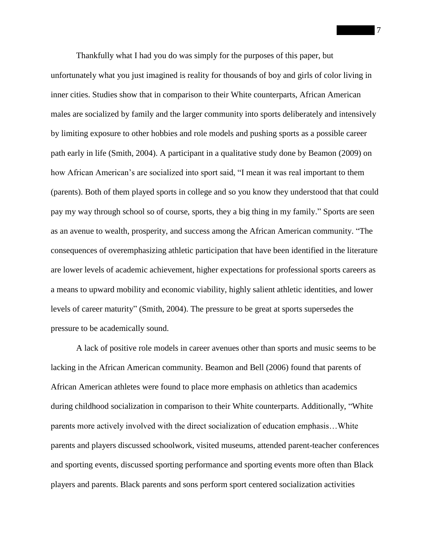Thankfully what I had you do was simply for the purposes of this paper, but unfortunately what you just imagined is reality for thousands of boy and girls of color living in inner cities. Studies show that in comparison to their White counterparts, African American males are socialized by family and the larger community into sports deliberately and intensively by limiting exposure to other hobbies and role models and pushing sports as a possible career path early in life (Smith, 2004). A participant in a qualitative study done by Beamon (2009) on how African American's are socialized into sport said, "I mean it was real important to them (parents). Both of them played sports in college and so you know they understood that that could pay my way through school so of course, sports, they a big thing in my family." Sports are seen as an avenue to wealth, prosperity, and success among the African American community. "The consequences of overemphasizing athletic participation that have been identified in the literature are lower levels of academic achievement, higher expectations for professional sports careers as a means to upward mobility and economic viability, highly salient athletic identities, and lower levels of career maturity" (Smith, 2004). The pressure to be great at sports supersedes the pressure to be academically sound.

A lack of positive role models in career avenues other than sports and music seems to be lacking in the African American community. Beamon and Bell (2006) found that parents of African American athletes were found to place more emphasis on athletics than academics during childhood socialization in comparison to their White counterparts. Additionally, "White parents more actively involved with the direct socialization of education emphasis…White parents and players discussed schoolwork, visited museums, attended parent-teacher conferences and sporting events, discussed sporting performance and sporting events more often than Black players and parents. Black parents and sons perform sport centered socialization activities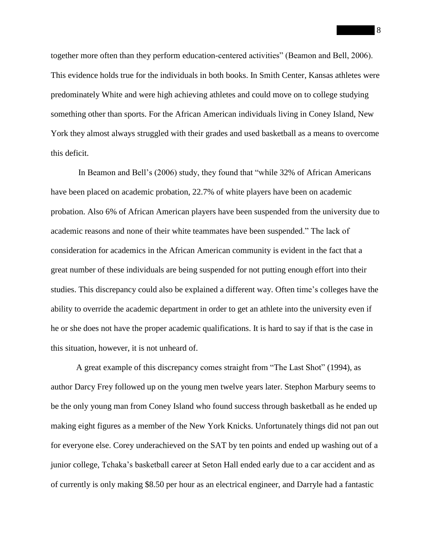together more often than they perform education-centered activities" (Beamon and Bell, 2006). This evidence holds true for the individuals in both books. In Smith Center, Kansas athletes were predominately White and were high achieving athletes and could move on to college studying something other than sports. For the African American individuals living in Coney Island, New York they almost always struggled with their grades and used basketball as a means to overcome this deficit.

In Beamon and Bell's (2006) study, they found that "while 32% of African Americans have been placed on academic probation, 22.7% of white players have been on academic probation. Also 6% of African American players have been suspended from the university due to academic reasons and none of their white teammates have been suspended." The lack of consideration for academics in the African American community is evident in the fact that a great number of these individuals are being suspended for not putting enough effort into their studies. This discrepancy could also be explained a different way. Often time's colleges have the ability to override the academic department in order to get an athlete into the university even if he or she does not have the proper academic qualifications. It is hard to say if that is the case in this situation, however, it is not unheard of.

A great example of this discrepancy comes straight from "The Last Shot" (1994), as author Darcy Frey followed up on the young men twelve years later. Stephon Marbury seems to be the only young man from Coney Island who found success through basketball as he ended up making eight figures as a member of the New York Knicks. Unfortunately things did not pan out for everyone else. Corey underachieved on the SAT by ten points and ended up washing out of a junior college, Tchaka's basketball career at Seton Hall ended early due to a car accident and as of currently is only making \$8.50 per hour as an electrical engineer, and Darryle had a fantastic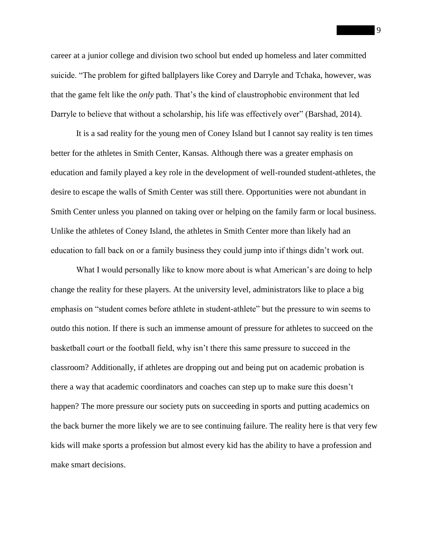career at a junior college and division two school but ended up homeless and later committed suicide. "The problem for gifted ballplayers like Corey and Darryle and Tchaka, however, was that the game felt like the *only* path. That's the kind of claustrophobic environment that led Darryle to believe that without a scholarship, his life was effectively over" (Barshad, 2014).

It is a sad reality for the young men of Coney Island but I cannot say reality is ten times better for the athletes in Smith Center, Kansas. Although there was a greater emphasis on education and family played a key role in the development of well-rounded student-athletes, the desire to escape the walls of Smith Center was still there. Opportunities were not abundant in Smith Center unless you planned on taking over or helping on the family farm or local business. Unlike the athletes of Coney Island, the athletes in Smith Center more than likely had an education to fall back on or a family business they could jump into if things didn't work out.

What I would personally like to know more about is what American's are doing to help change the reality for these players. At the university level, administrators like to place a big emphasis on "student comes before athlete in student-athlete" but the pressure to win seems to outdo this notion. If there is such an immense amount of pressure for athletes to succeed on the basketball court or the football field, why isn't there this same pressure to succeed in the classroom? Additionally, if athletes are dropping out and being put on academic probation is there a way that academic coordinators and coaches can step up to make sure this doesn't happen? The more pressure our society puts on succeeding in sports and putting academics on the back burner the more likely we are to see continuing failure. The reality here is that very few kids will make sports a profession but almost every kid has the ability to have a profession and make smart decisions.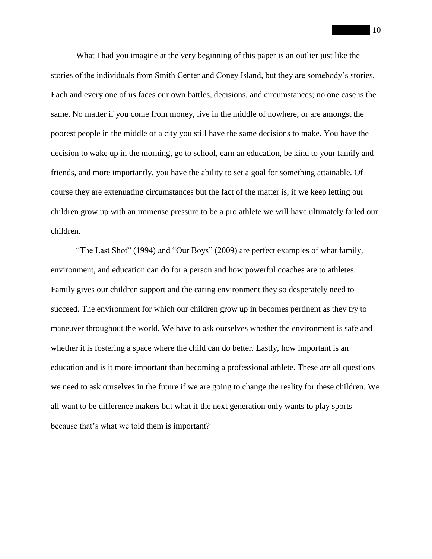What I had you imagine at the very beginning of this paper is an outlier just like the stories of the individuals from Smith Center and Coney Island, but they are somebody's stories. Each and every one of us faces our own battles, decisions, and circumstances; no one case is the same. No matter if you come from money, live in the middle of nowhere, or are amongst the poorest people in the middle of a city you still have the same decisions to make. You have the decision to wake up in the morning, go to school, earn an education, be kind to your family and friends, and more importantly, you have the ability to set a goal for something attainable. Of course they are extenuating circumstances but the fact of the matter is, if we keep letting our children grow up with an immense pressure to be a pro athlete we will have ultimately failed our children.

"The Last Shot" (1994) and "Our Boys" (2009) are perfect examples of what family, environment, and education can do for a person and how powerful coaches are to athletes. Family gives our children support and the caring environment they so desperately need to succeed. The environment for which our children grow up in becomes pertinent as they try to maneuver throughout the world. We have to ask ourselves whether the environment is safe and whether it is fostering a space where the child can do better. Lastly, how important is an education and is it more important than becoming a professional athlete. These are all questions we need to ask ourselves in the future if we are going to change the reality for these children. We all want to be difference makers but what if the next generation only wants to play sports because that's what we told them is important?